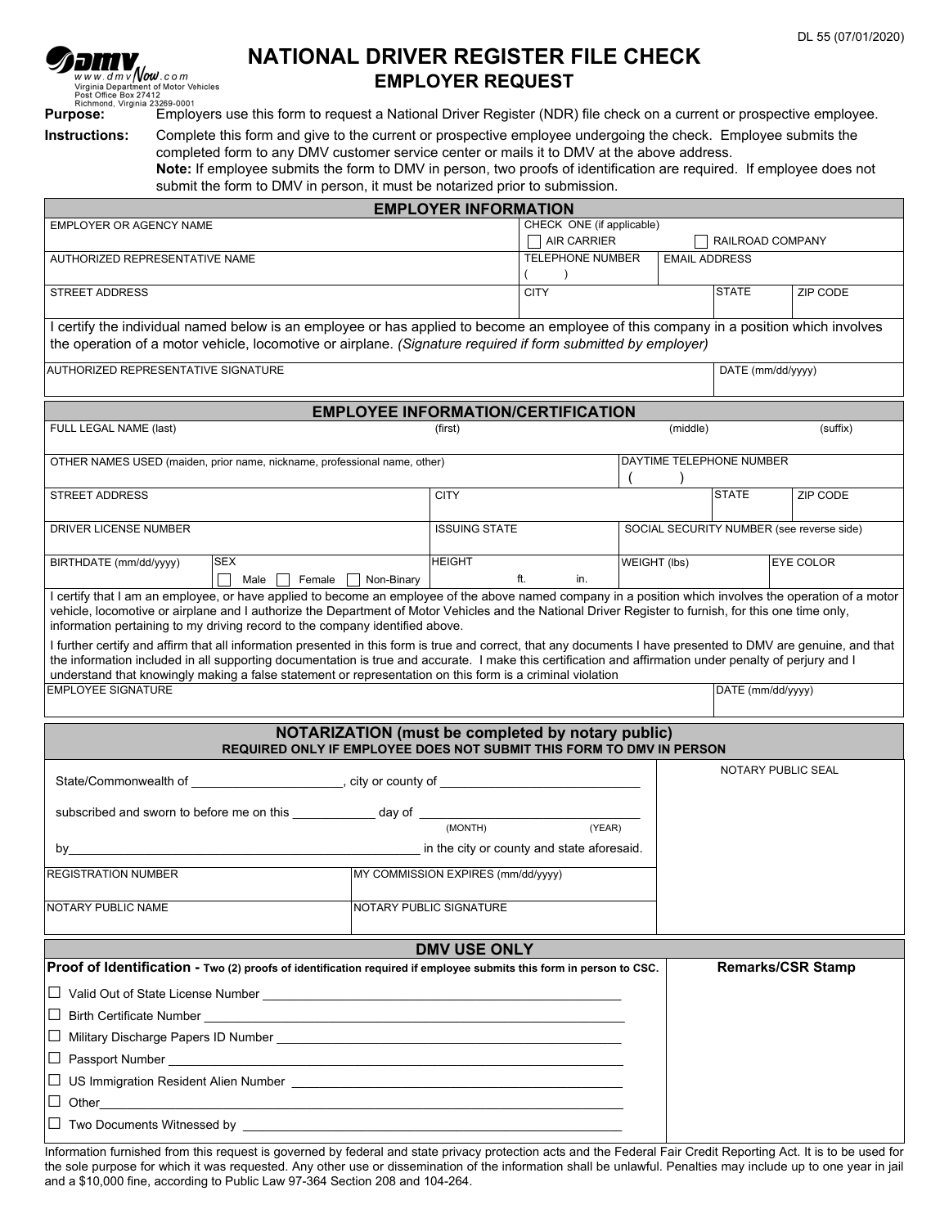|  | DL 55 (07/01/2020) |
|--|--------------------|
|--|--------------------|

| <i>Semv</i>                                                                                | NATIONAL DRIVER REGISTER FILE CHECK                                                                                  | . |
|--------------------------------------------------------------------------------------------|----------------------------------------------------------------------------------------------------------------------|---|
| www.dmv <b>/vow</b> .com<br>Virginia Department of Motor Vehicles<br>Post Office Box 27412 | <b>EMPLOYER REQUEST</b>                                                                                              |   |
| Richmond, Virginia 23269-0001                                                              |                                                                                                                      |   |
| <b>Purpose:</b>                                                                            | Employers use this form to request a National Driver Register (NDR) file check on a current or prospective employee. |   |

**Instructions:** Complete this form and give to the current or prospective employee undergoing the check. Employee submits the completed form to any DMV customer service center or mails it to DMV at the above address.

**Note:** If employee submits the form to DMV in person, two proofs of identification are required. If employee does not submit the form to DMV in person, it must be notarized prior to submission.

|                                                                                                                                                                                                                                                                                                                                                                                                                                                                                                                                                                                                                                                                                                                                                                                                                                                                                              |                                    | <b>EMPLOYER INFORMATION</b>                                  |                                                   |                   |                                           |                  |                          |  |  |
|----------------------------------------------------------------------------------------------------------------------------------------------------------------------------------------------------------------------------------------------------------------------------------------------------------------------------------------------------------------------------------------------------------------------------------------------------------------------------------------------------------------------------------------------------------------------------------------------------------------------------------------------------------------------------------------------------------------------------------------------------------------------------------------------------------------------------------------------------------------------------------------------|------------------------------------|--------------------------------------------------------------|---------------------------------------------------|-------------------|-------------------------------------------|------------------|--------------------------|--|--|
| EMPLOYER OR AGENCY NAME                                                                                                                                                                                                                                                                                                                                                                                                                                                                                                                                                                                                                                                                                                                                                                                                                                                                      |                                    | CHECK ONE (if applicable)<br>AIR CARRIER<br>RAILROAD COMPANY |                                                   |                   |                                           |                  |                          |  |  |
| AUTHORIZED REPRESENTATIVE NAME                                                                                                                                                                                                                                                                                                                                                                                                                                                                                                                                                                                                                                                                                                                                                                                                                                                               |                                    | <b>TELEPHONE NUMBER</b><br>$\lambda$                         |                                                   |                   | <b>EMAIL ADDRESS</b>                      |                  |                          |  |  |
| <b>STREET ADDRESS</b>                                                                                                                                                                                                                                                                                                                                                                                                                                                                                                                                                                                                                                                                                                                                                                                                                                                                        |                                    | <b>CITY</b>                                                  |                                                   |                   | <b>STATE</b>                              | ZIP CODE         |                          |  |  |
| I certify the individual named below is an employee or has applied to become an employee of this company in a position which involves<br>the operation of a motor vehicle, locomotive or airplane. (Signature required if form submitted by employer)                                                                                                                                                                                                                                                                                                                                                                                                                                                                                                                                                                                                                                        |                                    |                                                              |                                                   |                   |                                           |                  |                          |  |  |
| AUTHORIZED REPRESENTATIVE SIGNATURE                                                                                                                                                                                                                                                                                                                                                                                                                                                                                                                                                                                                                                                                                                                                                                                                                                                          |                                    |                                                              |                                                   | DATE (mm/dd/yyyy) |                                           |                  |                          |  |  |
|                                                                                                                                                                                                                                                                                                                                                                                                                                                                                                                                                                                                                                                                                                                                                                                                                                                                                              |                                    |                                                              | <b>EMPLOYEE INFORMATION/CERTIFICATION</b>         |                   |                                           |                  |                          |  |  |
| FULL LEGAL NAME (last)                                                                                                                                                                                                                                                                                                                                                                                                                                                                                                                                                                                                                                                                                                                                                                                                                                                                       |                                    | (first)                                                      |                                                   |                   | (middle)                                  |                  | (suffix)                 |  |  |
| OTHER NAMES USED (maiden, prior name, nickname, professional name, other)                                                                                                                                                                                                                                                                                                                                                                                                                                                                                                                                                                                                                                                                                                                                                                                                                    |                                    | DAYTIME TELEPHONE NUMBER                                     |                                                   |                   |                                           |                  |                          |  |  |
| <b>STREET ADDRESS</b>                                                                                                                                                                                                                                                                                                                                                                                                                                                                                                                                                                                                                                                                                                                                                                                                                                                                        | <b>CITY</b>                        |                                                              |                                                   |                   | <b>STATE</b>                              | ZIP CODE         |                          |  |  |
| DRIVER LICENSE NUMBER                                                                                                                                                                                                                                                                                                                                                                                                                                                                                                                                                                                                                                                                                                                                                                                                                                                                        |                                    | <b>ISSUING STATE</b><br>$\blacktriangledown$                 |                                                   |                   | SOCIAL SECURITY NUMBER (see reverse side) |                  |                          |  |  |
| BIRTHDATE (mm/dd/yyyy)<br><b>SEX</b><br>Male $\Box$                                                                                                                                                                                                                                                                                                                                                                                                                                                                                                                                                                                                                                                                                                                                                                                                                                          | Female Non-Binary                  | <b>HEIGHT</b>                                                | ft.<br>in.                                        | WEIGHT (lbs)      |                                           | <b>EYE COLOR</b> |                          |  |  |
| I certify that I am an employee, or have applied to become an employee of the above named company in a position which involves the operation of a motor<br>vehicle, locomotive or airplane and I authorize the Department of Motor Vehicles and the National Driver Register to furnish, for this one time only,<br>information pertaining to my driving record to the company identified above.<br>I further certify and affirm that all information presented in this form is true and correct, that any documents I have presented to DMV are genuine, and that<br>the information included in all supporting documentation is true and accurate. I make this certification and affirmation under penalty of perjury and I<br>understand that knowingly making a false statement or representation on this form is a criminal violation<br><b>EMPLOYEE SIGNATURE</b><br>DATE (mm/dd/yyyy) |                                    |                                                              |                                                   |                   |                                           |                  |                          |  |  |
|                                                                                                                                                                                                                                                                                                                                                                                                                                                                                                                                                                                                                                                                                                                                                                                                                                                                                              |                                    |                                                              |                                                   |                   |                                           |                  |                          |  |  |
| REQUIRED ONLY IF EMPLOYEE DOES NOT SUBMIT THIS FORM TO DMV IN PERSON                                                                                                                                                                                                                                                                                                                                                                                                                                                                                                                                                                                                                                                                                                                                                                                                                         |                                    |                                                              | NOTARIZATION (must be completed by notary public) |                   |                                           |                  |                          |  |  |
|                                                                                                                                                                                                                                                                                                                                                                                                                                                                                                                                                                                                                                                                                                                                                                                                                                                                                              |                                    |                                                              |                                                   |                   |                                           |                  | NOTARY PUBLIC SEAL       |  |  |
| subscribed and sworn to before me on this ____________ day of __________                                                                                                                                                                                                                                                                                                                                                                                                                                                                                                                                                                                                                                                                                                                                                                                                                     |                                    |                                                              |                                                   |                   |                                           |                  |                          |  |  |
| (MONTH)                                                                                                                                                                                                                                                                                                                                                                                                                                                                                                                                                                                                                                                                                                                                                                                                                                                                                      |                                    |                                                              | (YEAR)                                            |                   |                                           |                  |                          |  |  |
| by                                                                                                                                                                                                                                                                                                                                                                                                                                                                                                                                                                                                                                                                                                                                                                                                                                                                                           |                                    |                                                              | in the city or county and state aforesaid.        |                   |                                           |                  |                          |  |  |
| <b>REGISTRATION NUMBER</b>                                                                                                                                                                                                                                                                                                                                                                                                                                                                                                                                                                                                                                                                                                                                                                                                                                                                   | MY COMMISSION EXPIRES (mm/dd/yyyy) |                                                              |                                                   |                   |                                           |                  |                          |  |  |
| NOTARY PUBLIC NAME                                                                                                                                                                                                                                                                                                                                                                                                                                                                                                                                                                                                                                                                                                                                                                                                                                                                           |                                    | NOTARY PUBLIC SIGNATURE                                      |                                                   |                   |                                           |                  |                          |  |  |
|                                                                                                                                                                                                                                                                                                                                                                                                                                                                                                                                                                                                                                                                                                                                                                                                                                                                                              |                                    | <b>DMV USE ONLY</b>                                          |                                                   |                   |                                           |                  |                          |  |  |
| Proof of Identification - Two (2) proofs of identification required if employee submits this form in person to CSC.                                                                                                                                                                                                                                                                                                                                                                                                                                                                                                                                                                                                                                                                                                                                                                          |                                    |                                                              |                                                   |                   |                                           |                  | <b>Remarks/CSR Stamp</b> |  |  |
|                                                                                                                                                                                                                                                                                                                                                                                                                                                                                                                                                                                                                                                                                                                                                                                                                                                                                              |                                    |                                                              |                                                   |                   |                                           |                  |                          |  |  |
| $\Box$ Birth Certificate Number<br><u> 1980 - Johann John Stein, marwolaethau (b. 1980)</u>                                                                                                                                                                                                                                                                                                                                                                                                                                                                                                                                                                                                                                                                                                                                                                                                  |                                    |                                                              |                                                   |                   |                                           |                  |                          |  |  |
|                                                                                                                                                                                                                                                                                                                                                                                                                                                                                                                                                                                                                                                                                                                                                                                                                                                                                              |                                    |                                                              |                                                   |                   |                                           |                  |                          |  |  |
|                                                                                                                                                                                                                                                                                                                                                                                                                                                                                                                                                                                                                                                                                                                                                                                                                                                                                              |                                    |                                                              |                                                   |                   |                                           |                  |                          |  |  |
|                                                                                                                                                                                                                                                                                                                                                                                                                                                                                                                                                                                                                                                                                                                                                                                                                                                                                              |                                    |                                                              |                                                   |                   |                                           |                  |                          |  |  |
| $\Box$ Other<br><u> 1989 - Jan James James James James James James James James James James James James James James James James</u>                                                                                                                                                                                                                                                                                                                                                                                                                                                                                                                                                                                                                                                                                                                                                           |                                    |                                                              |                                                   |                   |                                           |                  |                          |  |  |
|                                                                                                                                                                                                                                                                                                                                                                                                                                                                                                                                                                                                                                                                                                                                                                                                                                                                                              |                                    |                                                              |                                                   |                   |                                           |                  |                          |  |  |

Information furnished from this request is governed by federal and state privacy protection acts and the Federal Fair Credit Reporting Act. It is to be used for the sole purpose for which it was requested. Any other use or dissemination of the information shall be unlawful. Penalties may include up to one year in jail and a \$10,000 fine, according to Public Law 97-364 Section 208 and 104-264.